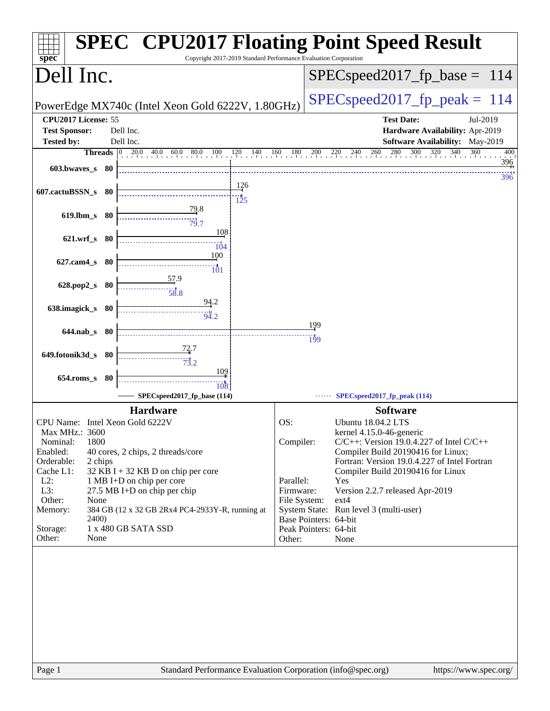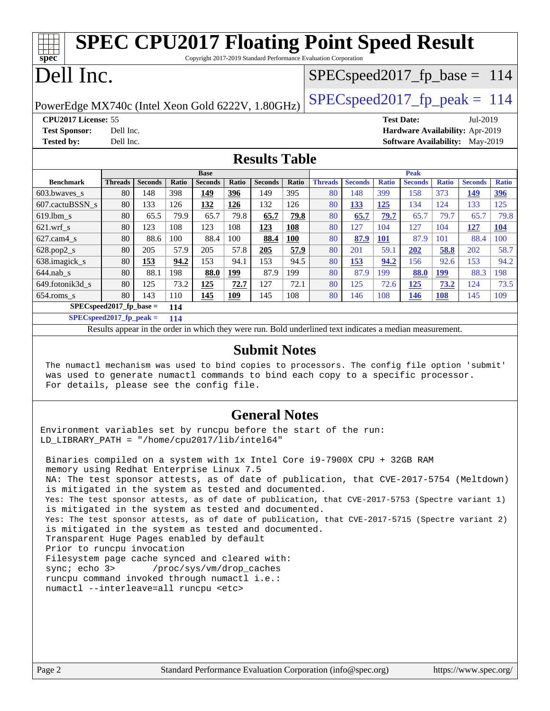| <b>SPEC CPU2017 Floating Point Speed Result</b><br>$spec^*$<br>Copyright 2017-2019 Standard Performance Evaluation Corporation |                                                                                      |                |              |                |       |                |       |                |                |              |                |              |                                        |              |
|--------------------------------------------------------------------------------------------------------------------------------|--------------------------------------------------------------------------------------|----------------|--------------|----------------|-------|----------------|-------|----------------|----------------|--------------|----------------|--------------|----------------------------------------|--------------|
| Dell Inc.<br>$SPEC speed2017_fp\_base = 114$                                                                                   |                                                                                      |                |              |                |       |                |       |                |                |              |                |              |                                        |              |
|                                                                                                                                |                                                                                      |                |              |                |       |                |       |                |                |              |                |              |                                        |              |
|                                                                                                                                | $SPEC speed2017_fp\_peak = 114$<br>PowerEdge MX740c (Intel Xeon Gold 6222V, 1.80GHz) |                |              |                |       |                |       |                |                |              |                |              |                                        |              |
|                                                                                                                                | CPU2017 License: 55<br><b>Test Date:</b><br>Jul-2019                                 |                |              |                |       |                |       |                |                |              |                |              |                                        |              |
| <b>Test Sponsor:</b>                                                                                                           | Dell Inc.                                                                            |                |              |                |       |                |       |                |                |              |                |              | Hardware Availability: Apr-2019        |              |
| <b>Tested by:</b>                                                                                                              | Dell Inc.                                                                            |                |              |                |       |                |       |                |                |              |                |              | <b>Software Availability:</b> May-2019 |              |
| <b>Results Table</b>                                                                                                           |                                                                                      |                |              |                |       |                |       |                |                |              |                |              |                                        |              |
|                                                                                                                                |                                                                                      |                |              | <b>Base</b>    |       |                |       | <b>Peak</b>    |                |              |                |              |                                        |              |
| <b>Benchmark</b>                                                                                                               | <b>Threads</b>                                                                       | <b>Seconds</b> | <b>Ratio</b> | <b>Seconds</b> | Ratio | <b>Seconds</b> | Ratio | <b>Threads</b> | <b>Seconds</b> | <b>Ratio</b> | <b>Seconds</b> | <b>Ratio</b> | <b>Seconds</b>                         | <b>Ratio</b> |
| 603.bwaves_s                                                                                                                   | 80                                                                                   | 148            | 398          | 149            | 396   | 149            | 395   | 80             | 148            | 399          | 158            | 373          | 149                                    | 396          |
| 607.cactuBSSN s                                                                                                                | 80                                                                                   | 133            | 126          | 132            | 126   | 132            | 126   | 80             | 133            | 125          | 134            | 124          | 133                                    | 125          |
| $619.1$ bm s                                                                                                                   | 80                                                                                   | 65.5           | 79.9         | 65.7           | 79.8  | 65.7           | 79.8  | 80             | 65.7           | 79.7         | 65.7           | 79.7         | 65.7                                   | 79.8         |
| $621.wrf$ <sub>S</sub>                                                                                                         | 80                                                                                   | 123            | 108          | 123            | 108   | 123            | 108   | 80             | 127            | 104          | 127            | 104          | 127                                    | <b>104</b>   |
| $627$ .cam $4$ s                                                                                                               | 80                                                                                   | 88.6           | 100          | 88.4           | 100   | 88.4           | 100   | 80             | 87.9           | <b>101</b>   | 87.9           | 101          | 88.4                                   | 100          |
| 628.pop2_s                                                                                                                     | 80                                                                                   | 205            | 57.9         | 205            | 57.8  | 205            | 57.9  | 80             | 201            | 59.1         | 202            | 58.8         | 202                                    | 58.7         |
| 638.imagick_s                                                                                                                  | 80                                                                                   | 153            | 94.2         | 153            | 94.1  | 153            | 94.5  | 80             | 153            | 94.2         | 156            | 92.6         | 153                                    | 94.2         |
| $644$ .nab s                                                                                                                   | 80                                                                                   | 88.1           | 198          | 88.0           | 199   | 87.9           | 199   | 80             | 87.9           | 199          | 88.0           | <b>199</b>   | 88.3                                   | 198          |
| 649.fotonik3d_s                                                                                                                | 80                                                                                   | 125            | 73.2         | 125            | 72.7  | 127            | 72.1  | 80             | 125            | 72.6         | 125            | 73.2         | 124                                    | 73.5         |
| $654$ .roms s                                                                                                                  | 80                                                                                   | 143            | 110          | 145            | 109   | 145            | 108   | 80             | 146            | 108          | 146            | 108          | 145                                    | 109          |

**[SPECspeed2017\\_fp\\_base =](http://www.spec.org/auto/cpu2017/Docs/result-fields.html#SPECspeed2017fpbase) 114 [SPECspeed2017\\_fp\\_peak =](http://www.spec.org/auto/cpu2017/Docs/result-fields.html#SPECspeed2017fppeak) 114**

Results appear in the [order in which they were run.](http://www.spec.org/auto/cpu2017/Docs/result-fields.html#RunOrder) Bold underlined text [indicates a median measurement](http://www.spec.org/auto/cpu2017/Docs/result-fields.html#Median).

## **[Submit Notes](http://www.spec.org/auto/cpu2017/Docs/result-fields.html#SubmitNotes)**

 The numactl mechanism was used to bind copies to processors. The config file option 'submit' was used to generate numactl commands to bind each copy to a specific processor. For details, please see the config file.

## **[General Notes](http://www.spec.org/auto/cpu2017/Docs/result-fields.html#GeneralNotes)**

Environment variables set by runcpu before the start of the run: LD\_LIBRARY\_PATH = "/home/cpu2017/lib/intel64"

 Binaries compiled on a system with 1x Intel Core i9-7900X CPU + 32GB RAM memory using Redhat Enterprise Linux 7.5 NA: The test sponsor attests, as of date of publication, that CVE-2017-5754 (Meltdown) is mitigated in the system as tested and documented. Yes: The test sponsor attests, as of date of publication, that CVE-2017-5753 (Spectre variant 1) is mitigated in the system as tested and documented. Yes: The test sponsor attests, as of date of publication, that CVE-2017-5715 (Spectre variant 2) is mitigated in the system as tested and documented. Transparent Huge Pages enabled by default Prior to runcpu invocation Filesystem page cache synced and cleared with: sync; echo 3> /proc/sys/vm/drop\_caches runcpu command invoked through numactl i.e.: numactl --interleave=all runcpu <etc>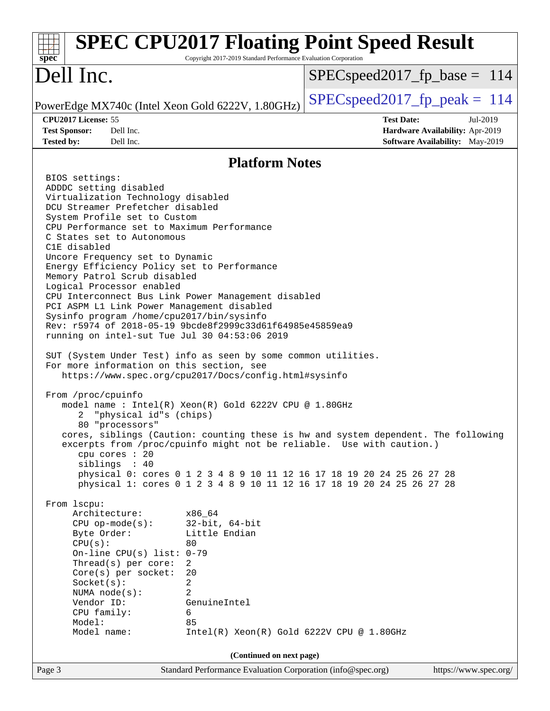| <b>SPEC CPU2017 Floating Point Speed Result</b><br>$spec^*$                                                                                                                                                                                                                                                                                                                                                                                                                                                                                                                                                                                                                                                                                                                                                                                                                                                                                                                                                                                                                                                                                                                                                                                                                                                                                                                                                                                                                                                                                                                                                                             | Copyright 2017-2019 Standard Performance Evaluation Corporation |                                             |                                                                                |
|-----------------------------------------------------------------------------------------------------------------------------------------------------------------------------------------------------------------------------------------------------------------------------------------------------------------------------------------------------------------------------------------------------------------------------------------------------------------------------------------------------------------------------------------------------------------------------------------------------------------------------------------------------------------------------------------------------------------------------------------------------------------------------------------------------------------------------------------------------------------------------------------------------------------------------------------------------------------------------------------------------------------------------------------------------------------------------------------------------------------------------------------------------------------------------------------------------------------------------------------------------------------------------------------------------------------------------------------------------------------------------------------------------------------------------------------------------------------------------------------------------------------------------------------------------------------------------------------------------------------------------------------|-----------------------------------------------------------------|---------------------------------------------|--------------------------------------------------------------------------------|
| Dell Inc.                                                                                                                                                                                                                                                                                                                                                                                                                                                                                                                                                                                                                                                                                                                                                                                                                                                                                                                                                                                                                                                                                                                                                                                                                                                                                                                                                                                                                                                                                                                                                                                                                               |                                                                 | $SPEC speed2017_fp\_base = 114$             |                                                                                |
| PowerEdge MX740c (Intel Xeon Gold 6222V, 1.80GHz)                                                                                                                                                                                                                                                                                                                                                                                                                                                                                                                                                                                                                                                                                                                                                                                                                                                                                                                                                                                                                                                                                                                                                                                                                                                                                                                                                                                                                                                                                                                                                                                       |                                                                 | $SPEC speed2017_fp\_peak = 114$             |                                                                                |
| CPU2017 License: 55<br><b>Test Sponsor:</b><br>Dell Inc.<br><b>Tested by:</b><br>Dell Inc.                                                                                                                                                                                                                                                                                                                                                                                                                                                                                                                                                                                                                                                                                                                                                                                                                                                                                                                                                                                                                                                                                                                                                                                                                                                                                                                                                                                                                                                                                                                                              |                                                                 | <b>Test Date:</b>                           | Jul-2019<br>Hardware Availability: Apr-2019<br>Software Availability: May-2019 |
|                                                                                                                                                                                                                                                                                                                                                                                                                                                                                                                                                                                                                                                                                                                                                                                                                                                                                                                                                                                                                                                                                                                                                                                                                                                                                                                                                                                                                                                                                                                                                                                                                                         | <b>Platform Notes</b>                                           |                                             |                                                                                |
| BIOS settings:<br>ADDDC setting disabled<br>Virtualization Technology disabled<br>DCU Streamer Prefetcher disabled<br>System Profile set to Custom<br>CPU Performance set to Maximum Performance<br>C States set to Autonomous<br>C1E disabled<br>Uncore Frequency set to Dynamic<br>Energy Efficiency Policy set to Performance<br>Memory Patrol Scrub disabled<br>Logical Processor enabled<br>CPU Interconnect Bus Link Power Management disabled<br>PCI ASPM L1 Link Power Management disabled<br>Sysinfo program /home/cpu2017/bin/sysinfo<br>Rev: r5974 of 2018-05-19 9bcde8f2999c33d61f64985e45859ea9<br>running on intel-sut Tue Jul 30 04:53:06 2019<br>SUT (System Under Test) info as seen by some common utilities.<br>For more information on this section, see<br>https://www.spec.org/cpu2017/Docs/config.html#sysinfo<br>From /proc/cpuinfo<br>model name: $Intel(R)$ Xeon $(R)$ Gold 6222V CPU @ 1.80GHz<br>"physical id"s (chips)<br>2<br>80 "processors"<br>cores, siblings (Caution: counting these is hw and system dependent. The following<br>excerpts from /proc/cpuinfo might not be reliable. Use with caution.)<br>cpu cores : 20<br>siblings : 40<br>physical 0: cores 0 1 2 3 4 8 9 10 11 12 16 17 18 19 20 24 25 26 27 28<br>physical 1: cores 0 1 2 3 4 8 9 10 11 12 16 17 18 19 20 24 25 26 27 28<br>From 1scpu:<br>Architecture:<br>x86_64<br>$CPU$ op-mode(s):<br>Byte Order:<br>CPU(s):<br>80<br>On-line CPU(s) list: $0-79$<br>Thread(s) per core:<br>2<br>$Core(s)$ per socket:<br>20<br>Socket(s):<br>2<br>2<br>NUMA $node(s):$<br>Vendor ID:<br>GenuineIntel<br>CPU family:<br>6<br>Model:<br>85 | $32$ -bit, $64$ -bit<br>Little Endian                           |                                             |                                                                                |
| Model name:                                                                                                                                                                                                                                                                                                                                                                                                                                                                                                                                                                                                                                                                                                                                                                                                                                                                                                                                                                                                                                                                                                                                                                                                                                                                                                                                                                                                                                                                                                                                                                                                                             |                                                                 | $Intel(R) Xeon(R) Gold 6222V CPU @ 1.80GHz$ |                                                                                |
|                                                                                                                                                                                                                                                                                                                                                                                                                                                                                                                                                                                                                                                                                                                                                                                                                                                                                                                                                                                                                                                                                                                                                                                                                                                                                                                                                                                                                                                                                                                                                                                                                                         | (Continued on next page)                                        |                                             |                                                                                |
| Page 3                                                                                                                                                                                                                                                                                                                                                                                                                                                                                                                                                                                                                                                                                                                                                                                                                                                                                                                                                                                                                                                                                                                                                                                                                                                                                                                                                                                                                                                                                                                                                                                                                                  | Standard Performance Evaluation Corporation (info@spec.org)     |                                             | https://www.spec.org/                                                          |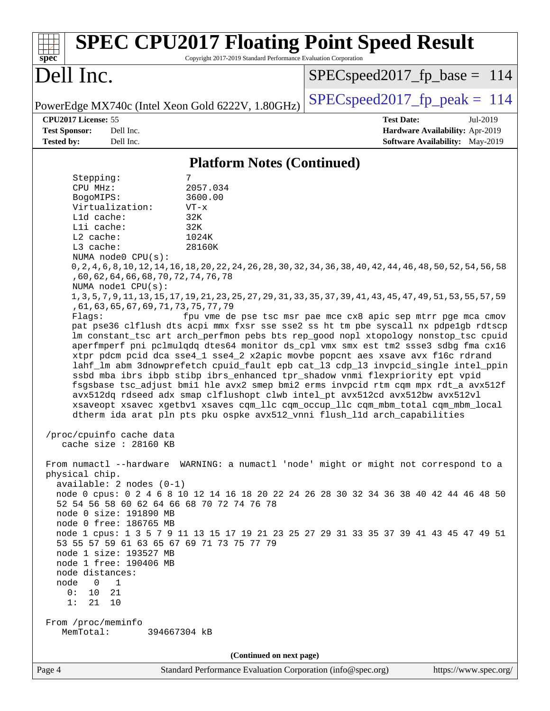| <b>SPEC CPU2017 Floating Point Speed Result</b><br>Copyright 2017-2019 Standard Performance Evaluation Corporation<br>$spec^*$                                                                                                                                                                                                                                                                                                                                                                                                                                                                                                                                                                                                                                                                                                                                                                                                                                                                                                                                                                                                                                                                                                                                                                                                                                                                                                                                                                                                                                                                                                                                                                                                                                                                                                                                                                                                                                                                                                                                                                                                                                                                                  |                                                                                                            |
|-----------------------------------------------------------------------------------------------------------------------------------------------------------------------------------------------------------------------------------------------------------------------------------------------------------------------------------------------------------------------------------------------------------------------------------------------------------------------------------------------------------------------------------------------------------------------------------------------------------------------------------------------------------------------------------------------------------------------------------------------------------------------------------------------------------------------------------------------------------------------------------------------------------------------------------------------------------------------------------------------------------------------------------------------------------------------------------------------------------------------------------------------------------------------------------------------------------------------------------------------------------------------------------------------------------------------------------------------------------------------------------------------------------------------------------------------------------------------------------------------------------------------------------------------------------------------------------------------------------------------------------------------------------------------------------------------------------------------------------------------------------------------------------------------------------------------------------------------------------------------------------------------------------------------------------------------------------------------------------------------------------------------------------------------------------------------------------------------------------------------------------------------------------------------------------------------------------------|------------------------------------------------------------------------------------------------------------|
| Dell Inc.                                                                                                                                                                                                                                                                                                                                                                                                                                                                                                                                                                                                                                                                                                                                                                                                                                                                                                                                                                                                                                                                                                                                                                                                                                                                                                                                                                                                                                                                                                                                                                                                                                                                                                                                                                                                                                                                                                                                                                                                                                                                                                                                                                                                       | $SPEC speed2017_f p\_base = 114$                                                                           |
| PowerEdge MX740c (Intel Xeon Gold 6222V, 1.80GHz)                                                                                                                                                                                                                                                                                                                                                                                                                                                                                                                                                                                                                                                                                                                                                                                                                                                                                                                                                                                                                                                                                                                                                                                                                                                                                                                                                                                                                                                                                                                                                                                                                                                                                                                                                                                                                                                                                                                                                                                                                                                                                                                                                               | $SPEC speed2017_fp\_peak = 114$                                                                            |
| CPU2017 License: 55<br><b>Test Sponsor:</b><br>Dell Inc.<br><b>Tested by:</b><br>Dell Inc.                                                                                                                                                                                                                                                                                                                                                                                                                                                                                                                                                                                                                                                                                                                                                                                                                                                                                                                                                                                                                                                                                                                                                                                                                                                                                                                                                                                                                                                                                                                                                                                                                                                                                                                                                                                                                                                                                                                                                                                                                                                                                                                      | <b>Test Date:</b><br>Jul-2019<br>Hardware Availability: Apr-2019<br><b>Software Availability:</b> May-2019 |
| <b>Platform Notes (Continued)</b>                                                                                                                                                                                                                                                                                                                                                                                                                                                                                                                                                                                                                                                                                                                                                                                                                                                                                                                                                                                                                                                                                                                                                                                                                                                                                                                                                                                                                                                                                                                                                                                                                                                                                                                                                                                                                                                                                                                                                                                                                                                                                                                                                                               |                                                                                                            |
| 7<br>Stepping:<br>CPU MHz:<br>2057.034<br>3600.00<br>BogoMIPS:<br>Virtualization:<br>$VT - x$<br>L1d cache:<br>32K<br>Lli cache:<br>32K<br>L2 cache:<br>1024K<br>$L3$ cache:<br>28160K<br>NUMA node0 CPU(s):<br>0, 2, 4, 6, 8, 10, 12, 14, 16, 18, 20, 22, 24, 26, 28, 30, 32, 34, 36, 38, 40, 42, 44, 46, 48, 50, 52, 54, 56, 58<br>, 60, 62, 64, 66, 68, 70, 72, 74, 76, 78<br>NUMA node1 CPU(s):<br>1, 3, 5, 7, 9, 11, 13, 15, 17, 19, 21, 23, 25, 27, 29, 31, 33, 35, 37, 39, 41, 43, 45, 47, 49, 51, 53, 55, 57, 59<br>, 61, 63, 65, 67, 69, 71, 73, 75, 77, 79<br>Flaqs:<br>pat pse36 clflush dts acpi mmx fxsr sse sse2 ss ht tm pbe syscall nx pdpelgb rdtscp<br>lm constant_tsc art arch_perfmon pebs bts rep_good nopl xtopology nonstop_tsc cpuid<br>aperfmperf pni pclmulqdq dtes64 monitor ds_cpl vmx smx est tm2 ssse3 sdbg fma cx16<br>xtpr pdcm pcid dca sse4_1 sse4_2 x2apic movbe popcnt aes xsave avx f16c rdrand<br>lahf_lm abm 3dnowprefetch cpuid_fault epb cat_13 cdp_13 invpcid_single intel_ppin<br>ssbd mba ibrs ibpb stibp ibrs_enhanced tpr_shadow vnmi flexpriority ept vpid<br>fsgsbase tsc_adjust bmil hle avx2 smep bmi2 erms invpcid rtm cqm mpx rdt_a avx512f<br>avx512dq rdseed adx smap clflushopt clwb intel_pt avx512cd avx512bw avx512vl<br>xsaveopt xsavec xgetbvl xsaves cqm_llc cqm_occup_llc cqm_mbm_total cqm_mbm_local<br>dtherm ida arat pln pts pku ospke avx512_vnni flush_lld arch_capabilities<br>/proc/cpuinfo cache data<br>cache size : 28160 KB<br>From numactl --hardware WARNING: a numactl 'node' might or might not correspond to a<br>physical chip.<br>$available: 2 nodes (0-1)$<br>node 0 cpus: 0 2 4 6 8 10 12 14 16 18 20 22 24 26 28 30 32 34 36 38 40 42 44 46 48 50<br>52 54 56 58 60 62 64 66 68 70 72 74 76 78<br>node 0 size: 191890 MB<br>node 0 free: 186765 MB<br>node 1 cpus: 1 3 5 7 9 11 13 15 17 19 21 23 25 27 29 31 33 35 37 39 41 43 45 47 49 51<br>53 55 57 59 61 63 65 67 69 71 73 75 77 79<br>node 1 size: 193527 MB<br>node 1 free: 190406 MB<br>node distances:<br>node<br>$\overline{0}$<br>$\mathbf{1}$<br>10<br>21<br>0 :<br>1:<br>21 10<br>From /proc/meminfo<br>MemTotal:<br>394667304 kB<br>(Continued on next page) | fpu vme de pse tsc msr pae mce cx8 apic sep mtrr pge mca cmov                                              |
| Standard Performance Evaluation Corporation (info@spec.org)<br>Page 4                                                                                                                                                                                                                                                                                                                                                                                                                                                                                                                                                                                                                                                                                                                                                                                                                                                                                                                                                                                                                                                                                                                                                                                                                                                                                                                                                                                                                                                                                                                                                                                                                                                                                                                                                                                                                                                                                                                                                                                                                                                                                                                                           | https://www.spec.org/                                                                                      |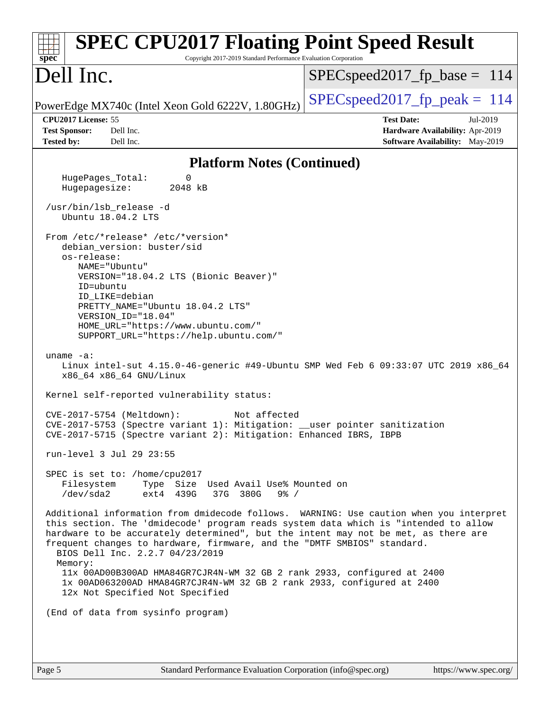| <b>SPEC CPU2017 Floating Point Speed Result</b><br>$sp\overline{ec}$<br>Copyright 2017-2019 Standard Performance Evaluation Corporation                                                                                                                                                                                                                                                                                                                                                                                                                                              |                                                                                                     |
|--------------------------------------------------------------------------------------------------------------------------------------------------------------------------------------------------------------------------------------------------------------------------------------------------------------------------------------------------------------------------------------------------------------------------------------------------------------------------------------------------------------------------------------------------------------------------------------|-----------------------------------------------------------------------------------------------------|
| Dell Inc.                                                                                                                                                                                                                                                                                                                                                                                                                                                                                                                                                                            | $SPEC speed2017_f p\_base = 114$                                                                    |
| PowerEdge MX740c (Intel Xeon Gold 6222V, 1.80GHz)                                                                                                                                                                                                                                                                                                                                                                                                                                                                                                                                    | $SPEC speed2017_fp\_peak = 114$                                                                     |
| CPU2017 License: 55<br><b>Test Sponsor:</b><br>Dell Inc.<br><b>Tested by:</b><br>Dell Inc.                                                                                                                                                                                                                                                                                                                                                                                                                                                                                           | <b>Test Date:</b><br>Jul-2019<br>Hardware Availability: Apr-2019<br>Software Availability: May-2019 |
| <b>Platform Notes (Continued)</b>                                                                                                                                                                                                                                                                                                                                                                                                                                                                                                                                                    |                                                                                                     |
| HugePages_Total:<br>0<br>Hugepagesize:<br>2048 kB                                                                                                                                                                                                                                                                                                                                                                                                                                                                                                                                    |                                                                                                     |
| /usr/bin/lsb_release -d<br>Ubuntu 18.04.2 LTS                                                                                                                                                                                                                                                                                                                                                                                                                                                                                                                                        |                                                                                                     |
| From /etc/*release* /etc/*version*<br>debian_version: buster/sid<br>os-release:<br>NAME="Ubuntu"<br>VERSION="18.04.2 LTS (Bionic Beaver)"<br>ID=ubuntu<br>ID LIKE=debian<br>PRETTY_NAME="Ubuntu 18.04.2 LTS"<br>VERSION_ID="18.04"<br>HOME_URL="https://www.ubuntu.com/"<br>SUPPORT_URL="https://help.ubuntu.com/"<br>uname $-a$ :<br>Linux intel-sut 4.15.0-46-generic #49-Ubuntu SMP Wed Feb 6 09:33:07 UTC 2019 x86_64<br>x86_64 x86_64 GNU/Linux<br>Kernel self-reported vulnerability status:<br>CVE-2017-5754 (Meltdown):<br>Not affected                                      |                                                                                                     |
| CVE-2017-5753 (Spectre variant 1): Mitigation: __user pointer sanitization<br>CVE-2017-5715 (Spectre variant 2): Mitigation: Enhanced IBRS, IBPB                                                                                                                                                                                                                                                                                                                                                                                                                                     |                                                                                                     |
| run-level 3 Jul 29 23:55                                                                                                                                                                                                                                                                                                                                                                                                                                                                                                                                                             |                                                                                                     |
| SPEC is set to: /home/cpu2017<br>Filesystem<br>Type Size Used Avail Use% Mounted on<br>/dev/sda2<br>ext4 439G<br>37G 380G<br>$9\frac{8}{10}$ /                                                                                                                                                                                                                                                                                                                                                                                                                                       |                                                                                                     |
| Additional information from dmidecode follows. WARNING: Use caution when you interpret<br>this section. The 'dmidecode' program reads system data which is "intended to allow<br>hardware to be accurately determined", but the intent may not be met, as there are<br>frequent changes to hardware, firmware, and the "DMTF SMBIOS" standard.<br>BIOS Dell Inc. 2.2.7 04/23/2019<br>Memory:<br>11x 00AD00B300AD HMA84GR7CJR4N-WM 32 GB 2 rank 2933, configured at 2400<br>1x 00AD063200AD HMA84GR7CJR4N-WM 32 GB 2 rank 2933, configured at 2400<br>12x Not Specified Not Specified |                                                                                                     |
| (End of data from sysinfo program)                                                                                                                                                                                                                                                                                                                                                                                                                                                                                                                                                   |                                                                                                     |
|                                                                                                                                                                                                                                                                                                                                                                                                                                                                                                                                                                                      |                                                                                                     |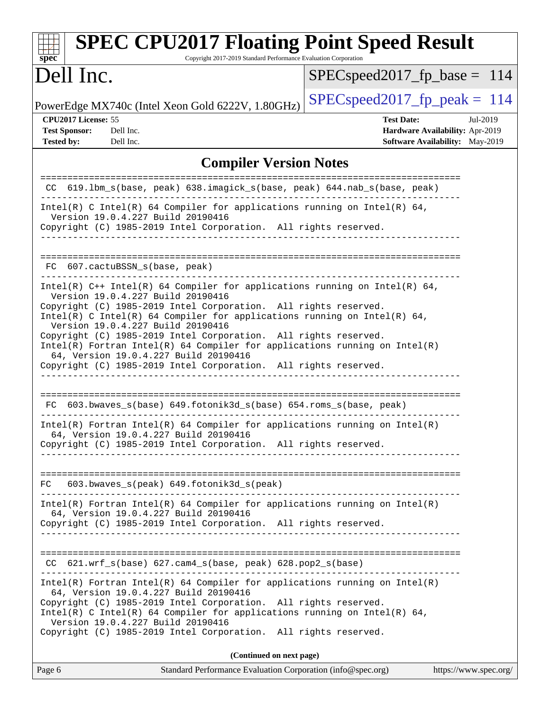| <b>SPEC CPU2017 Floating Point Speed Result</b><br>Copyright 2017-2019 Standard Performance Evaluation Corporation<br>spec <sup>®</sup>                                                                                                                                                                                                                                                                                                                                                           |                                                                                                            |
|---------------------------------------------------------------------------------------------------------------------------------------------------------------------------------------------------------------------------------------------------------------------------------------------------------------------------------------------------------------------------------------------------------------------------------------------------------------------------------------------------|------------------------------------------------------------------------------------------------------------|
| Dell Inc.                                                                                                                                                                                                                                                                                                                                                                                                                                                                                         | $SPEC speed2017_fp\_base = 114$                                                                            |
| PowerEdge MX740c (Intel Xeon Gold 6222V, 1.80GHz)                                                                                                                                                                                                                                                                                                                                                                                                                                                 | $SPEC speed2017_fp\_peak = 114$                                                                            |
| CPU2017 License: 55<br><b>Test Sponsor:</b><br>Dell Inc.<br><b>Tested by:</b><br>Dell Inc.                                                                                                                                                                                                                                                                                                                                                                                                        | <b>Test Date:</b><br>Jul-2019<br>Hardware Availability: Apr-2019<br><b>Software Availability:</b> May-2019 |
| <b>Compiler Version Notes</b>                                                                                                                                                                                                                                                                                                                                                                                                                                                                     |                                                                                                            |
| CC 619.1bm_s(base, peak) 638.imagick_s(base, peak) 644.nab_s(base, peak)                                                                                                                                                                                                                                                                                                                                                                                                                          | =====================                                                                                      |
| Intel(R) C Intel(R) 64 Compiler for applications running on Intel(R) 64,<br>Version 19.0.4.227 Build 20190416<br>Copyright (C) 1985-2019 Intel Corporation. All rights reserved.                                                                                                                                                                                                                                                                                                                  |                                                                                                            |
| FC 607.cactuBSSN_s(base, peak)                                                                                                                                                                                                                                                                                                                                                                                                                                                                    |                                                                                                            |
| Intel(R) $C++$ Intel(R) 64 Compiler for applications running on Intel(R) 64,<br>Version 19.0.4.227 Build 20190416<br>Copyright (C) 1985-2019 Intel Corporation. All rights reserved.<br>Intel(R) C Intel(R) 64 Compiler for applications running on Intel(R) 64,<br>Version 19.0.4.227 Build 20190416<br>Copyright (C) 1985-2019 Intel Corporation. All rights reserved.<br>$Intel(R)$ Fortran Intel(R) 64 Compiler for applications running on Intel(R)<br>64, Version 19.0.4.227 Build 20190416 |                                                                                                            |
| Copyright (C) 1985-2019 Intel Corporation. All rights reserved.<br>FC 603.bwaves_s(base) 649.fotonik3d_s(base) 654.roms_s(base, peak)<br>$Intel(R)$ Fortran Intel(R) 64 Compiler for applications running on Intel(R)<br>64, Version 19.0.4.227 Build 20190416                                                                                                                                                                                                                                    |                                                                                                            |
| Copyright (C) 1985-2019 Intel Corporation. All rights reserved.                                                                                                                                                                                                                                                                                                                                                                                                                                   |                                                                                                            |
| FC 603.bwaves_s(peak) 649.fotonik3d_s(peak)<br>$Intel(R)$ Fortran Intel(R) 64 Compiler for applications running on Intel(R)<br>64, Version 19.0.4.227 Build 20190416<br>Copyright (C) 1985-2019 Intel Corporation. All rights reserved.                                                                                                                                                                                                                                                           |                                                                                                            |
| $CC$ 621.wrf_s(base) 627.cam4_s(base, peak) 628.pop2_s(base)                                                                                                                                                                                                                                                                                                                                                                                                                                      |                                                                                                            |
| $Intel(R)$ Fortran Intel(R) 64 Compiler for applications running on Intel(R)<br>64, Version 19.0.4.227 Build 20190416<br>Copyright (C) 1985-2019 Intel Corporation. All rights reserved.<br>Intel(R) C Intel(R) 64 Compiler for applications running on Intel(R) 64,<br>Version 19.0.4.227 Build 20190416<br>Copyright (C) 1985-2019 Intel Corporation. All rights reserved.                                                                                                                      |                                                                                                            |
| (Continued on next page)                                                                                                                                                                                                                                                                                                                                                                                                                                                                          |                                                                                                            |
| Page 6<br>Standard Performance Evaluation Corporation (info@spec.org)                                                                                                                                                                                                                                                                                                                                                                                                                             | https://www.spec.org/                                                                                      |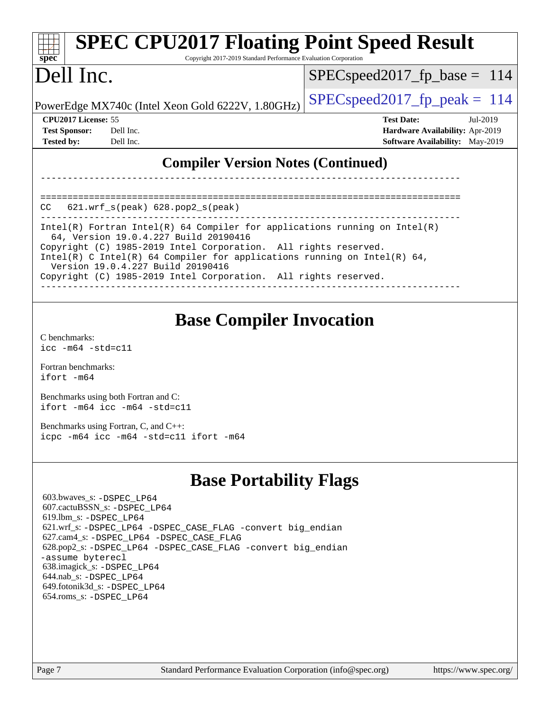| <b>SPEC CPU2017 Floating Point Speed Result</b><br>spec <sup>®</sup><br>Copyright 2017-2019 Standard Performance Evaluation Corporation                                                                                                                                                                                                                                                                  |                                                                                                     |
|----------------------------------------------------------------------------------------------------------------------------------------------------------------------------------------------------------------------------------------------------------------------------------------------------------------------------------------------------------------------------------------------------------|-----------------------------------------------------------------------------------------------------|
| Dell Inc.                                                                                                                                                                                                                                                                                                                                                                                                | $SPEC speed2017_f p\_base = 114$                                                                    |
| PowerEdge MX740c (Intel Xeon Gold 6222V, 1.80GHz)                                                                                                                                                                                                                                                                                                                                                        | $SPEC speed2017_fp\_peak = 114$                                                                     |
| CPU2017 License: 55<br><b>Test Sponsor:</b><br>Dell Inc.<br>Dell Inc.<br><b>Tested by:</b>                                                                                                                                                                                                                                                                                                               | <b>Test Date:</b><br>Jul-2019<br>Hardware Availability: Apr-2019<br>Software Availability: May-2019 |
| <b>Compiler Version Notes (Continued)</b>                                                                                                                                                                                                                                                                                                                                                                |                                                                                                     |
| 621.wrf_s(peak) 628.pop2_s(peak)<br>CC                                                                                                                                                                                                                                                                                                                                                                   |                                                                                                     |
| $Intel(R)$ Fortran Intel(R) 64 Compiler for applications running on Intel(R)<br>64, Version 19.0.4.227 Build 20190416<br>Copyright (C) 1985-2019 Intel Corporation. All rights reserved.<br>Intel(R) C Intel(R) 64 Compiler for applications running on Intel(R) 64,<br>Version 19.0.4.227 Build 20190416<br>Copyright (C) 1985-2019 Intel Corporation. All rights reserved.                             |                                                                                                     |
| <b>Base Compiler Invocation</b><br>C benchmarks:<br>$\text{icc}$ -m64 -std=c11                                                                                                                                                                                                                                                                                                                           |                                                                                                     |
| Fortran benchmarks:<br>ifort -m64                                                                                                                                                                                                                                                                                                                                                                        |                                                                                                     |
| Benchmarks using both Fortran and C:<br>$ifort -m64$ $ice -m64 -std=c11$                                                                                                                                                                                                                                                                                                                                 |                                                                                                     |
| Benchmarks using Fortran, C, and C++:<br>icpc -m64 icc -m64 -std=c11 ifort -m64                                                                                                                                                                                                                                                                                                                          |                                                                                                     |
| <b>Base Portability Flags</b>                                                                                                                                                                                                                                                                                                                                                                            |                                                                                                     |
| 603.bwaves_s: -DSPEC_LP64<br>607.cactuBSSN_s: -DSPEC LP64<br>$619.$ lbm_s: -DSPEC LP64<br>621.wrf_s: -DSPEC LP64 -DSPEC CASE FLAG -convert big endian<br>627.cam4_s: -DSPEC_LP64 -DSPEC_CASE_FLAG<br>628.pop2_s: -DSPEC_LP64 -DSPEC_CASE_FLAG -convert big_endian<br>-assume byterecl<br>638.imagick_s: -DSPEC_LP64<br>644.nab_s: -DSPEC_LP64<br>649.fotonik3d_s: -DSPEC LP64<br>654.roms_s: -DSPEC_LP64 |                                                                                                     |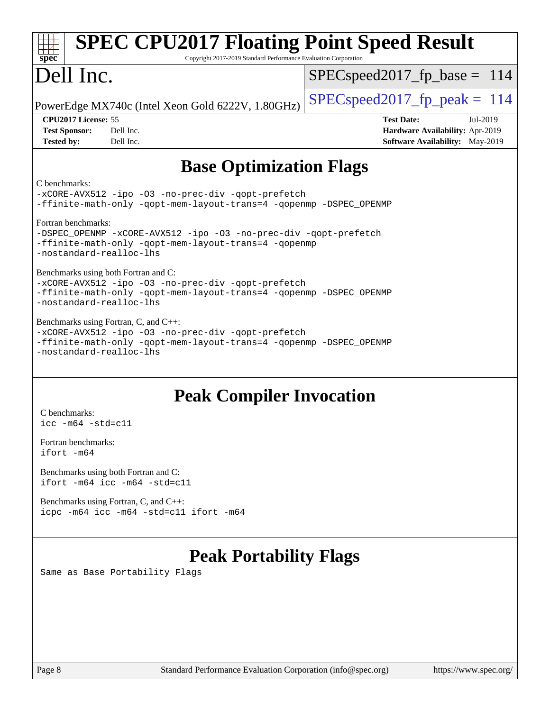| <b>SPEC CPU2017 Floating Point Speed Result</b><br>Copyright 2017-2019 Standard Performance Evaluation Corporation<br>$spec^*$                                                               |                                                                                                     |  |  |  |
|----------------------------------------------------------------------------------------------------------------------------------------------------------------------------------------------|-----------------------------------------------------------------------------------------------------|--|--|--|
| Dell Inc.                                                                                                                                                                                    | $SPEC speed2017_f p\_base = 114$                                                                    |  |  |  |
| PowerEdge MX740c (Intel Xeon Gold 6222V, 1.80GHz)                                                                                                                                            | $SPEC speed2017_fp_peak = 114$                                                                      |  |  |  |
| CPU2017 License: 55<br>Dell Inc.<br><b>Test Sponsor:</b><br><b>Tested by:</b><br>Dell Inc.                                                                                                   | <b>Test Date:</b><br>Jul-2019<br>Hardware Availability: Apr-2019<br>Software Availability: May-2019 |  |  |  |
| <b>Base Optimization Flags</b>                                                                                                                                                               |                                                                                                     |  |  |  |
| C benchmarks:<br>-xCORE-AVX512 -ipo -03 -no-prec-div -qopt-prefetch<br>-ffinite-math-only -qopt-mem-layout-trans=4 -qopenmp -DSPEC_OPENMP                                                    |                                                                                                     |  |  |  |
| Fortran benchmarks:<br>-DSPEC_OPENMP -xCORE-AVX512 -ipo -03 -no-prec-div -qopt-prefetch<br>-ffinite-math-only -qopt-mem-layout-trans=4 -qopenmp<br>-nostandard-realloc-lhs                   |                                                                                                     |  |  |  |
| Benchmarks using both Fortran and C:<br>-xCORE-AVX512 -ipo -03 -no-prec-div -qopt-prefetch<br>-ffinite-math-only -qopt-mem-layout-trans=4 -qopenmp -DSPEC_OPENMP<br>-nostandard-realloc-lhs  |                                                                                                     |  |  |  |
| Benchmarks using Fortran, C, and C++:<br>-xCORE-AVX512 -ipo -03 -no-prec-div -qopt-prefetch<br>-ffinite-math-only -qopt-mem-layout-trans=4 -qopenmp -DSPEC_OPENMP<br>-nostandard-realloc-lhs |                                                                                                     |  |  |  |
| <b>Peak Compiler Invocation</b>                                                                                                                                                              |                                                                                                     |  |  |  |
| C benchmarks:<br>$\text{icc}$ -m64 -std=c11<br>Fortran benchmarks:                                                                                                                           |                                                                                                     |  |  |  |

[Benchmarks using both Fortran and C](http://www.spec.org/auto/cpu2017/Docs/result-fields.html#BenchmarksusingbothFortranandC): [ifort -m64](http://www.spec.org/cpu2017/results/res2019q3/cpu2017-20190805-16550.flags.html#user_CC_FCpeak_intel_ifort_64bit_24f2bb282fbaeffd6157abe4f878425411749daecae9a33200eee2bee2fe76f3b89351d69a8130dd5949958ce389cf37ff59a95e7a40d588e8d3a57e0c3fd751) [icc -m64 -std=c11](http://www.spec.org/cpu2017/results/res2019q3/cpu2017-20190805-16550.flags.html#user_CC_FCpeak_intel_icc_64bit_c11_33ee0cdaae7deeeab2a9725423ba97205ce30f63b9926c2519791662299b76a0318f32ddfffdc46587804de3178b4f9328c46fa7c2b0cd779d7a61945c91cd35)

[ifort -m64](http://www.spec.org/cpu2017/results/res2019q3/cpu2017-20190805-16550.flags.html#user_FCpeak_intel_ifort_64bit_24f2bb282fbaeffd6157abe4f878425411749daecae9a33200eee2bee2fe76f3b89351d69a8130dd5949958ce389cf37ff59a95e7a40d588e8d3a57e0c3fd751)

[Benchmarks using Fortran, C, and C++:](http://www.spec.org/auto/cpu2017/Docs/result-fields.html#BenchmarksusingFortranCandCXX) [icpc -m64](http://www.spec.org/cpu2017/results/res2019q3/cpu2017-20190805-16550.flags.html#user_CC_CXX_FCpeak_intel_icpc_64bit_4ecb2543ae3f1412ef961e0650ca070fec7b7afdcd6ed48761b84423119d1bf6bdf5cad15b44d48e7256388bc77273b966e5eb805aefd121eb22e9299b2ec9d9) [icc -m64 -std=c11](http://www.spec.org/cpu2017/results/res2019q3/cpu2017-20190805-16550.flags.html#user_CC_CXX_FCpeak_intel_icc_64bit_c11_33ee0cdaae7deeeab2a9725423ba97205ce30f63b9926c2519791662299b76a0318f32ddfffdc46587804de3178b4f9328c46fa7c2b0cd779d7a61945c91cd35) [ifort -m64](http://www.spec.org/cpu2017/results/res2019q3/cpu2017-20190805-16550.flags.html#user_CC_CXX_FCpeak_intel_ifort_64bit_24f2bb282fbaeffd6157abe4f878425411749daecae9a33200eee2bee2fe76f3b89351d69a8130dd5949958ce389cf37ff59a95e7a40d588e8d3a57e0c3fd751)

## **[Peak Portability Flags](http://www.spec.org/auto/cpu2017/Docs/result-fields.html#PeakPortabilityFlags)**

Same as Base Portability Flags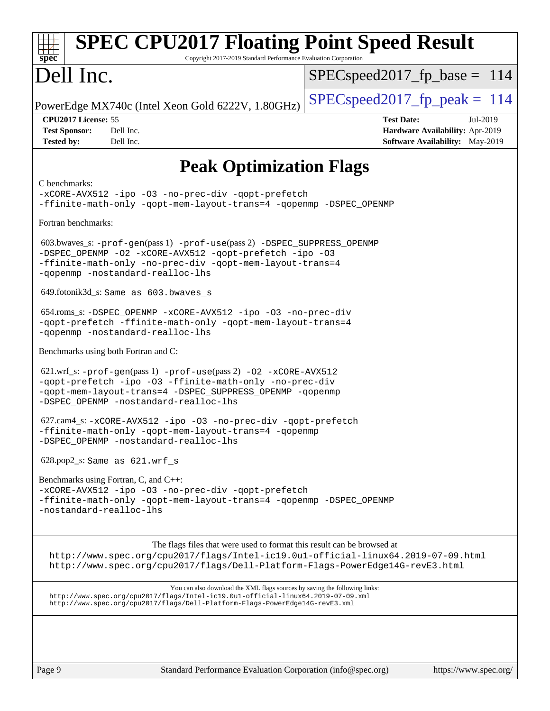| <b>SPEC CPU2017 Floating Point Speed Result</b><br>Copyright 2017-2019 Standard Performance Evaluation Corporation<br>spec <sup>®</sup>                                                                                                        |                                                                                                            |
|------------------------------------------------------------------------------------------------------------------------------------------------------------------------------------------------------------------------------------------------|------------------------------------------------------------------------------------------------------------|
| Dell Inc.                                                                                                                                                                                                                                      | $SPEC speed2017_f p\_base = 114$                                                                           |
| PowerEdge MX740c (Intel Xeon Gold 6222V, 1.80GHz)                                                                                                                                                                                              | $SPEC speed2017_fp\_peak = 114$                                                                            |
| CPU2017 License: 55<br><b>Test Sponsor:</b><br>Dell Inc.<br><b>Tested by:</b><br>Dell Inc.                                                                                                                                                     | <b>Test Date:</b><br>Jul-2019<br>Hardware Availability: Apr-2019<br><b>Software Availability:</b> May-2019 |
| <b>Peak Optimization Flags</b>                                                                                                                                                                                                                 |                                                                                                            |
| C benchmarks:<br>-xCORE-AVX512 -ipo -03 -no-prec-div -qopt-prefetch<br>-ffinite-math-only -qopt-mem-layout-trans=4 -qopenmp -DSPEC_OPENMP                                                                                                      |                                                                                                            |
| Fortran benchmarks:                                                                                                                                                                                                                            |                                                                                                            |
| 603.bwaves_s: -prof-gen(pass 1) -prof-use(pass 2) -DSPEC_SUPPRESS_OPENMP<br>-DSPEC_OPENMP -02 -xCORE-AVX512 -qopt-prefetch -ipo -03<br>-ffinite-math-only -no-prec-div -qopt-mem-layout-trans=4<br>-gopenmp -nostandard-realloc-lhs            |                                                                                                            |
| 649.fotonik3d_s: Same as 603.bwaves s                                                                                                                                                                                                          |                                                                                                            |
| 654.roms_s: -DSPEC_OPENMP -xCORE-AVX512 -ipo -03 -no-prec-div<br>-qopt-prefetch -ffinite-math-only -qopt-mem-layout-trans=4<br>-qopenmp -nostandard-realloc-lhs                                                                                |                                                                                                            |
| Benchmarks using both Fortran and C:                                                                                                                                                                                                           |                                                                                                            |
| 621.wrf_s: -prof-gen(pass 1) -prof-use(pass 2) -02 -xCORE-AVX512<br>-qopt-prefetch -ipo -03 -ffinite-math-only -no-prec-div<br>-qopt-mem-layout-trans=4 -DSPEC_SUPPRESS_OPENMP -qopenmp<br>-DSPEC_OPENMP -nostandard-realloc-lhs               |                                                                                                            |
| 627.cam4_s: -xCORE-AVX512 -ipo -03 -no-prec-div -qopt-prefetch<br>-ffinite-math-only -qopt-mem-layout-trans=4 -qopenmp<br>-DSPEC_OPENMP -nostandard-realloc-lhs                                                                                |                                                                                                            |
| $628.pop2_s: Same as 621.wrf_s$                                                                                                                                                                                                                |                                                                                                            |
| Benchmarks using Fortran, C, and C++:                                                                                                                                                                                                          |                                                                                                            |
| -xCORE-AVX512 -ipo -03 -no-prec-div -qopt-prefetch<br>-ffinite-math-only -qopt-mem-layout-trans=4 -qopenmp -DSPEC_OPENMP<br>-nostandard-realloc-lhs                                                                                            |                                                                                                            |
| The flags files that were used to format this result can be browsed at<br>http://www.spec.org/cpu2017/flags/Intel-ic19.0ul-official-linux64.2019-07-09.html<br>http://www.spec.org/cpu2017/flags/Dell-Platform-Flags-PowerEdge14G-revE3.html   |                                                                                                            |
| You can also download the XML flags sources by saving the following links:<br>http://www.spec.org/cpu2017/flags/Intel-ic19.0ul-official-linux64.2019-07-09.xml<br>http://www.spec.org/cpu2017/flags/Dell-Platform-Flags-PowerEdge14G-revE3.xml |                                                                                                            |
|                                                                                                                                                                                                                                                |                                                                                                            |
| Page 9<br>Standard Performance Evaluation Corporation (info@spec.org)                                                                                                                                                                          | https://www.spec.org/                                                                                      |